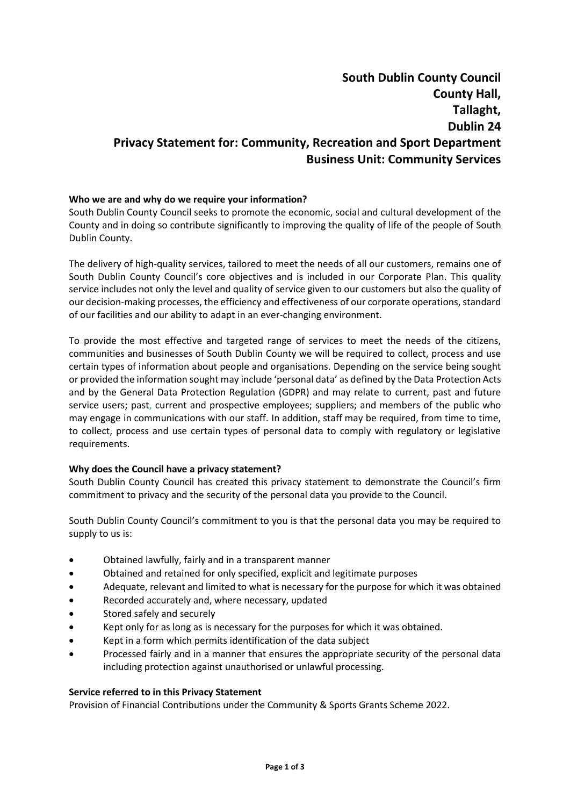# **South Dublin County Council County Hall, Tallaght, Dublin 24 Privacy Statement for: Community, Recreation and Sport Department Business Unit: Community Services**

## **Who we are and why do we require your information?**

South Dublin County Council seeks to promote the economic, social and cultural development of the County and in doing so contribute significantly to improving the quality of life of the people of South Dublin County.

The delivery of high-quality services, tailored to meet the needs of all our customers, remains one of South Dublin County Council's core objectives and is included in our Corporate Plan. This quality service includes not only the level and quality of service given to our customers but also the quality of our decision-making processes, the efficiency and effectiveness of our corporate operations, standard of our facilities and our ability to adapt in an ever-changing environment.

To provide the most effective and targeted range of services to meet the needs of the citizens, communities and businesses of South Dublin County we will be required to collect, process and use certain types of information about people and organisations. Depending on the service being sought or provided the information sought may include 'personal data' as defined by the Data Protection Acts and by the General Data Protection Regulation (GDPR) and may relate to current, past and future service users; past, current and prospective employees; suppliers; and members of the public who may engage in communications with our staff. In addition, staff may be required, from time to time, to collect, process and use certain types of personal data to comply with regulatory or legislative requirements.

#### **Why does the Council have a privacy statement?**

South Dublin County Council has created this privacy statement to demonstrate the Council's firm commitment to privacy and the security of the personal data you provide to the Council.

South Dublin County Council's commitment to you is that the personal data you may be required to supply to us is:

- Obtained lawfully, fairly and in a transparent manner
- Obtained and retained for only specified, explicit and legitimate purposes
- Adequate, relevant and limited to what is necessary for the purpose for which it was obtained
- Recorded accurately and, where necessary, updated
- Stored safely and securely
- Kept only for as long as is necessary for the purposes for which it was obtained.
- Kept in a form which permits identification of the data subject
- Processed fairly and in a manner that ensures the appropriate security of the personal data including protection against unauthorised or unlawful processing.

#### **Service referred to in this Privacy Statement**

Provision of Financial Contributions under the Community & Sports Grants Scheme 2022.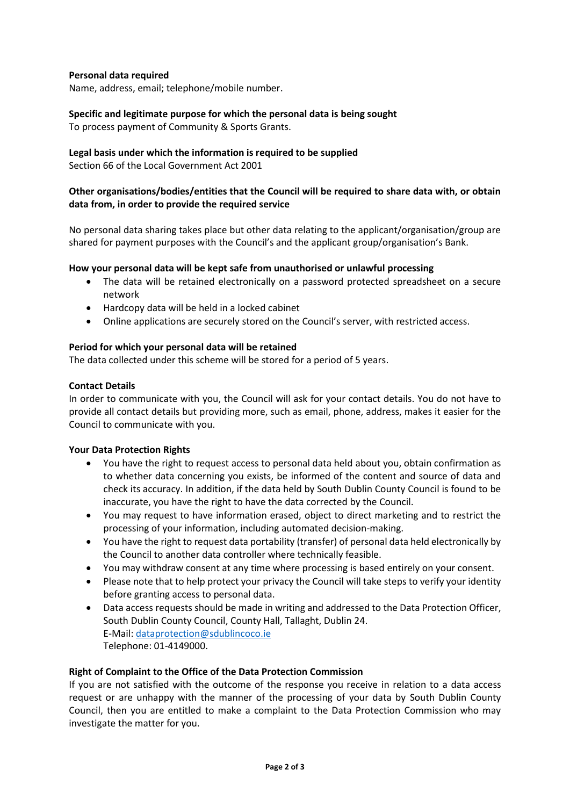## **Personal data required**

Name, address, email; telephone/mobile number.

## **Specific and legitimate purpose for which the personal data is being sought**

To process payment of Community & Sports Grants.

## **Legal basis under which the information is required to be supplied**

Section 66 of the Local Government Act 2001

## **Other organisations/bodies/entities that the Council will be required to share data with, or obtain data from, in order to provide the required service**

No personal data sharing takes place but other data relating to the applicant/organisation/group are shared for payment purposes with the Council's and the applicant group/organisation's Bank.

## **How your personal data will be kept safe from unauthorised or unlawful processing**

- The data will be retained electronically on a password protected spreadsheet on a secure network
- Hardcopy data will be held in a locked cabinet
- Online applications are securely stored on the Council's server, with restricted access.

## **Period for which your personal data will be retained**

The data collected under this scheme will be stored for a period of 5 years.

#### **Contact Details**

In order to communicate with you, the Council will ask for your contact details. You do not have to provide all contact details but providing more, such as email, phone, address, makes it easier for the Council to communicate with you.

#### **Your Data Protection Rights**

- You have the right to request access to personal data held about you, obtain confirmation as to whether data concerning you exists, be informed of the content and source of data and check its accuracy. In addition, if the data held by South Dublin County Council is found to be inaccurate, you have the right to have the data corrected by the Council.
- You may request to have information erased, object to direct marketing and to restrict the processing of your information, including automated decision-making.
- You have the right to request data portability (transfer) of personal data held electronically by the Council to another data controller where technically feasible.
- You may withdraw consent at any time where processing is based entirely on your consent.
- Please note that to help protect your privacy the Council will take steps to verify your identity before granting access to personal data.
- Data access requests should be made in writing and addressed to the Data Protection Officer, South Dublin County Council, County Hall, Tallaght, Dublin 24. E-Mail: [dataprotection@sdublincoco.ie](mailto:dataprotection@sdublincoco.ie)  Telephone: 01-4149000.

#### **Right of Complaint to the Office of the Data Protection Commission**

If you are not satisfied with the outcome of the response you receive in relation to a data access request or are unhappy with the manner of the processing of your data by South Dublin County Council, then you are entitled to make a complaint to the Data Protection Commission who may investigate the matter for you.